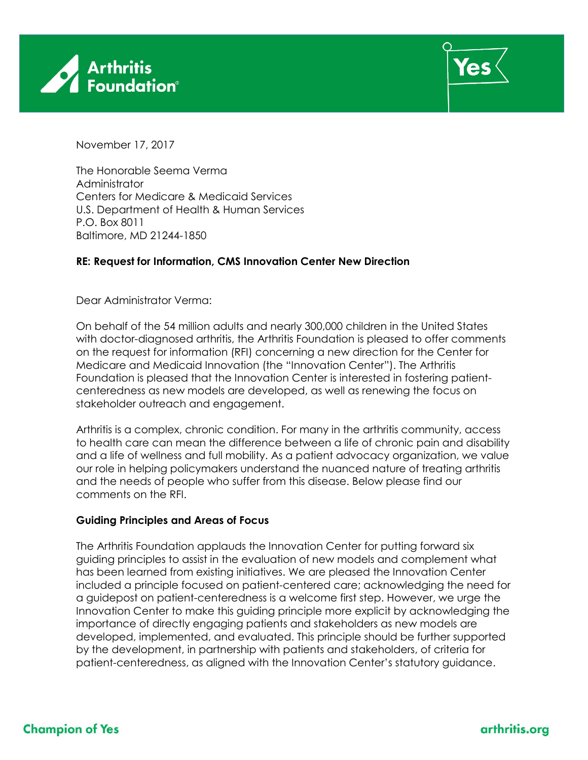



November 17, 2017

The Honorable Seema Verma Administrator Centers for Medicare & Medicaid Services U.S. Department of Health & Human Services P.O. Box 8011 Baltimore, MD 21244-1850

### **RE: Request for Information, CMS Innovation Center New Direction**

Dear Administrator Verma:

On behalf of the 54 million adults and nearly 300,000 children in the United States with doctor-diagnosed arthritis, the Arthritis Foundation is pleased to offer comments on the request for information (RFI) concerning a new direction for the Center for Medicare and Medicaid Innovation (the "Innovation Center"). The Arthritis Foundation is pleased that the Innovation Center is interested in fostering patientcenteredness as new models are developed, as well as renewing the focus on stakeholder outreach and engagement.

Arthritis is a complex, chronic condition. For many in the arthritis community, access to health care can mean the difference between a life of chronic pain and disability and a life of wellness and full mobility. As a patient advocacy organization, we value our role in helping policymakers understand the nuanced nature of treating arthritis and the needs of people who suffer from this disease. Below please find our comments on the RFI.

### **Guiding Principles and Areas of Focus**

The Arthritis Foundation applauds the Innovation Center for putting forward six guiding principles to assist in the evaluation of new models and complement what has been learned from existing initiatives. We are pleased the Innovation Center included a principle focused on patient-centered care; acknowledging the need for a guidepost on patient-centeredness is a welcome first step. However, we urge the Innovation Center to make this guiding principle more explicit by acknowledging the importance of directly engaging patients and stakeholders as new models are developed, implemented, and evaluated. This principle should be further supported by the development, in partnership with patients and stakeholders, of criteria for patient-centeredness, as aligned with the Innovation Center's statutory guidance.

# **Champion of Yes**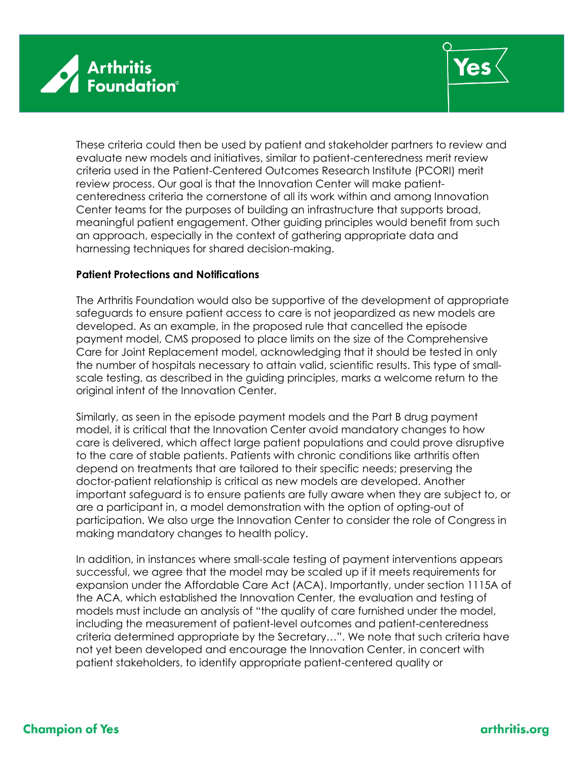



These criteria could then be used by patient and stakeholder partners to review and evaluate new models and initiatives, similar to patient-centeredness merit review criteria used in the Patient-Centered Outcomes Research Institute (PCORI) merit review process. Our goal is that the Innovation Center will make patientcenteredness criteria the cornerstone of all its work within and among Innovation Center teams for the purposes of building an infrastructure that supports broad, meaningful patient engagement. Other guiding principles would benefit from such an approach, especially in the context of gathering appropriate data and harnessing techniques for shared decision-making.

#### **Patient Protections and Notifications**

The Arthritis Foundation would also be supportive of the development of appropriate safeguards to ensure patient access to care is not jeopardized as new models are developed. As an example, in the proposed rule that cancelled the episode payment model, CMS proposed to place limits on the size of the Comprehensive Care for Joint Replacement model, acknowledging that it should be tested in only the number of hospitals necessary to attain valid, scientific results. This type of smallscale testing, as described in the guiding principles, marks a welcome return to the original intent of the Innovation Center.

Similarly, as seen in the episode payment models and the Part B drug payment model, it is critical that the Innovation Center avoid mandatory changes to how care is delivered, which affect large patient populations and could prove disruptive to the care of stable patients. Patients with chronic conditions like arthritis often depend on treatments that are tailored to their specific needs; preserving the doctor-patient relationship is critical as new models are developed. Another important safeguard is to ensure patients are fully aware when they are subject to, or are a participant in, a model demonstration with the option of opting-out of participation. We also urge the Innovation Center to consider the role of Congress in making mandatory changes to health policy.

In addition, in instances where small-scale testing of payment interventions appears successful, we agree that the model may be scaled up if it meets requirements for expansion under the Affordable Care Act (ACA). Importantly, under section 1115A of the ACA, which established the Innovation Center, the evaluation and testing of models must include an analysis of "the quality of care furnished under the model, including the measurement of patient-level outcomes and patient-centeredness criteria determined appropriate by the Secretary…". We note that such criteria have not yet been developed and encourage the Innovation Center, in concert with patient stakeholders, to identify appropriate patient-centered quality or

# **Champion of Yes**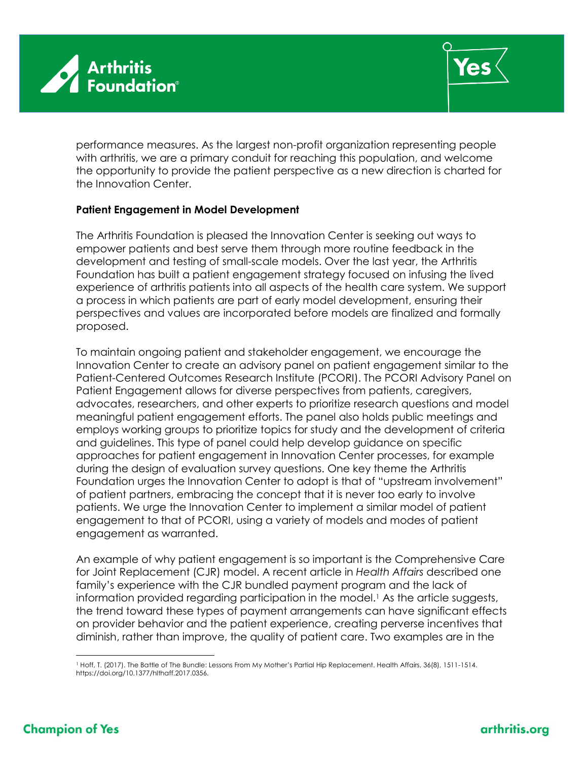



performance measures. As the largest non-profit organization representing people with arthritis, we are a primary conduit for reaching this population, and welcome the opportunity to provide the patient perspective as a new direction is charted for the Innovation Center.

#### **Patient Engagement in Model Development**

The Arthritis Foundation is pleased the Innovation Center is seeking out ways to empower patients and best serve them through more routine feedback in the development and testing of small-scale models. Over the last year, the Arthritis Foundation has built a patient engagement strategy focused on infusing the lived experience of arthritis patients into all aspects of the health care system. We support a process in which patients are part of early model development, ensuring their perspectives and values are incorporated before models are finalized and formally proposed.

To maintain ongoing patient and stakeholder engagement, we encourage the Innovation Center to create an advisory panel on patient engagement similar to the Patient-Centered Outcomes Research Institute (PCORI). The PCORI Advisory Panel on Patient Engagement allows for diverse perspectives from patients, caregivers, advocates, researchers, and other experts to prioritize research questions and model meaningful patient engagement efforts. The panel also holds public meetings and employs working groups to prioritize topics for study and the development of criteria and guidelines. This type of panel could help develop guidance on specific approaches for patient engagement in Innovation Center processes, for example during the design of evaluation survey questions. One key theme the Arthritis Foundation urges the Innovation Center to adopt is that of "upstream involvement" of patient partners, embracing the concept that it is never too early to involve patients. We urge the Innovation Center to implement a similar model of patient engagement to that of PCORI, using a variety of models and modes of patient engagement as warranted.

An example of why patient engagement is so important is the Comprehensive Care for Joint Replacement (CJR) model. A recent article in *Health Affairs* described one family's experience with the CJR bundled payment program and the lack of information provided regarding participation in the model.<sup>1</sup> As the article suggests, the trend toward these types of payment arrangements can have significant effects on provider behavior and the patient experience, creating perverse incentives that diminish, rather than improve, the quality of patient care. Two examples are in the

 $\overline{a}$ <sup>1</sup> Hoff, T. (2017). The Battle of The Bundle: Lessons From My Mother's Partial Hip Replacement. Health Affairs, 36(8), 1511-1514. https://doi.org/10.1377/hlthaff.2017.0356.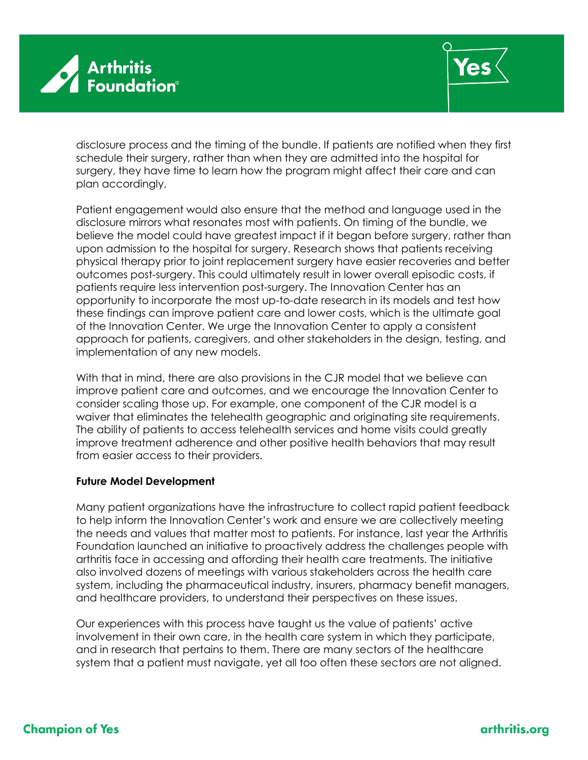



disclosure process and the timing of the bundle. If patients are notified when they first schedule their surgery, rather than when they are admitted into the hospital for surgery, they have time to learn how the program might affect their care and can plan accordingly.

Patient engagement would also ensure that the method and language used in the disclosure mirrors what resonates most with patients. On timing of the bundle, we believe the model could have greatest impact if it began before surgery, rather than upon admission to the hospital for surgery. Research shows that patients receiving physical therapy prior to joint replacement surgery have easier recoveries and better outcomes post-surgery. This could ultimately result in lower overall episodic costs, if patients require less intervention post-surgery. The Innovation Center has an opportunity to incorporate the most up-to-date research in its models and test how these findings can improve patient care and lower costs, which is the ultimate goal of the Innovation Center. We urge the Innovation Center to apply a consistent approach for patients, caregivers, and other stakeholders in the design, testing, and implementation of any new models.

With that in mind, there are also provisions in the CJR model that we believe can improve patient care and outcomes, and we encourage the Innovation Center to consider scaling those up. For example, one component of the CJR model is a waiver that eliminates the telehealth geographic and originating site requirements. The ability of patients to access telehealth services and home visits could greatly improve treatment adherence and other positive health behaviors that may result from easier access to their providers.

### **Future Model Development**

Many patient organizations have the infrastructure to collect rapid patient feedback to help inform the Innovation Center's work and ensure we are collectively meeting the needs and values that matter most to patients. For instance, last year the Arthritis Foundation launched an initiative to proactively address the challenges people with arthritis face in accessing and affording their health care treatments. The initiative also involved dozens of meetings with various stakeholders across the health care system, including the pharmaceutical industry, insurers, pharmacy benefit managers, and healthcare providers, to understand their perspectives on these issues.

Our experiences with this process have taught us the value of patients' active involvement in their own care, in the health care system in which they participate, and in research that pertains to them. There are many sectors of the healthcare system that a patient must navigate, yet all too often these sectors are not aligned.

# **Champion of Yes**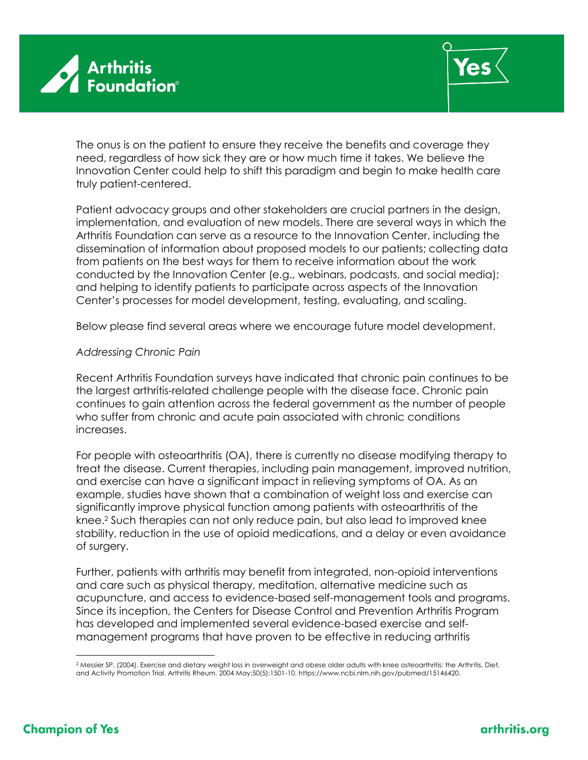



The onus is on the patient to ensure they receive the benefits and coverage they need, regardless of how sick they are or how much time it takes. We believe the Innovation Center could help to shift this paradigm and begin to make health care truly patient-centered.

Patient advocacy groups and other stakeholders are crucial partners in the design, implementation, and evaluation of new models. There are several ways in which the Arthritis Foundation can serve as a resource to the Innovation Center, including the dissemination of information about proposed models to our patients; collecting data from patients on the best ways for them to receive information about the work conducted by the Innovation Center (e.g., webinars, podcasts, and social media); and helping to identify patients to participate across aspects of the Innovation Center's processes for model development, testing, evaluating, and scaling.

Below please find several areas where we encourage future model development.

### *Addressing Chronic Pain*

Recent Arthritis Foundation surveys have indicated that chronic pain continues to be the largest arthritis-related challenge people with the disease face. Chronic pain continues to gain attention across the federal government as the number of people who suffer from chronic and acute pain associated with chronic conditions increases.

For people with osteoarthritis (OA), there is currently no disease modifying therapy to treat the disease. Current therapies, including pain management, improved nutrition, and exercise can have a significant impact in relieving symptoms of OA. As an example, studies have shown that a combination of weight loss and exercise can significantly improve physical function among patients with osteoarthritis of the knee.<sup>2</sup> Such therapies can not only reduce pain, but also lead to improved knee stability, reduction in the use of opioid medications, and a delay or even avoidance of surgery.

Further, patients with arthritis may benefit from integrated, non-opioid interventions and care such as physical therapy, meditation, alternative medicine such as acupuncture, and access to evidence-based self-management tools and programs. Since its inception, the Centers for Disease Control and Prevention Arthritis Program has developed and implemented several evidence-based exercise and selfmanagement programs that have proven to be effective in reducing arthritis

 $\overline{a}$ <sup>2</sup> Messier SP. (2004). Exercise and dietary weight loss in overweight and obese older adults with knee osteoarthritis: the Arthritis, Diet, and Activity Promotion Trial. Arthritis Rheum. 2004 May;50(5):1501-10. https://www.ncbi.nlm.nih.gov/pubmed/15146420.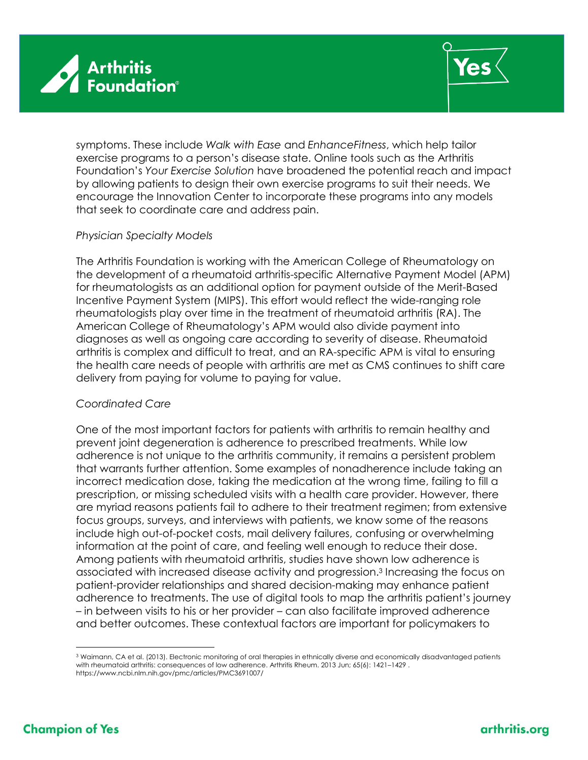



symptoms. These include *Walk with Ease* and *EnhanceFitness*, which help tailor exercise programs to a person's disease state. Online tools such as the Arthritis Foundation's *Your Exercise Solution* have broadened the potential reach and impact by allowing patients to design their own exercise programs to suit their needs. We encourage the Innovation Center to incorporate these programs into any models that seek to coordinate care and address pain.

### *Physician Specialty Models*

The Arthritis Foundation is working with the American College of Rheumatology on the development of a rheumatoid arthritis-specific Alternative Payment Model (APM) for rheumatologists as an additional option for payment outside of the Merit-Based Incentive Payment System (MIPS). This effort would reflect the wide-ranging role rheumatologists play over time in the treatment of rheumatoid arthritis (RA). The American College of Rheumatology's APM would also divide payment into diagnoses as well as ongoing care according to severity of disease. Rheumatoid arthritis is complex and difficult to treat, and an RA-specific APM is vital to ensuring the health care needs of people with arthritis are met as CMS continues to shift care delivery from paying for volume to paying for value.

### *Coordinated Care*

One of the most important factors for patients with arthritis to remain healthy and prevent joint degeneration is adherence to prescribed treatments. While low adherence is not unique to the arthritis community, it remains a persistent problem that warrants further attention. Some examples of nonadherence include taking an incorrect medication dose, taking the medication at the wrong time, failing to fill a prescription, or missing scheduled visits with a health care provider. However, there are myriad reasons patients fail to adhere to their treatment regimen; from extensive focus groups, surveys, and interviews with patients, we know some of the reasons include high out-of-pocket costs, mail delivery failures, confusing or overwhelming information at the point of care, and feeling well enough to reduce their dose. Among patients with rheumatoid arthritis, studies have shown low adherence is associated with increased disease activity and progression.<sup>3</sup> Increasing the focus on patient-provider relationships and shared decision-making may enhance patient adherence to treatments. The use of digital tools to map the arthritis patient's journey – in between visits to his or her provider – can also facilitate improved adherence and better outcomes. These contextual factors are important for policymakers to

 $\overline{a}$ 

<sup>3</sup> Waimann, CA et al. (2013). Electronic monitoring of oral therapies in ethnically diverse and economically disadvantaged patients with rheumatoid arthritis: consequences of low adherence. Arthritis Rheum. 2013 Jun; 65(6): 1421–1429 . https://www.ncbi.nlm.nih.gov/pmc/articles/PMC3691007/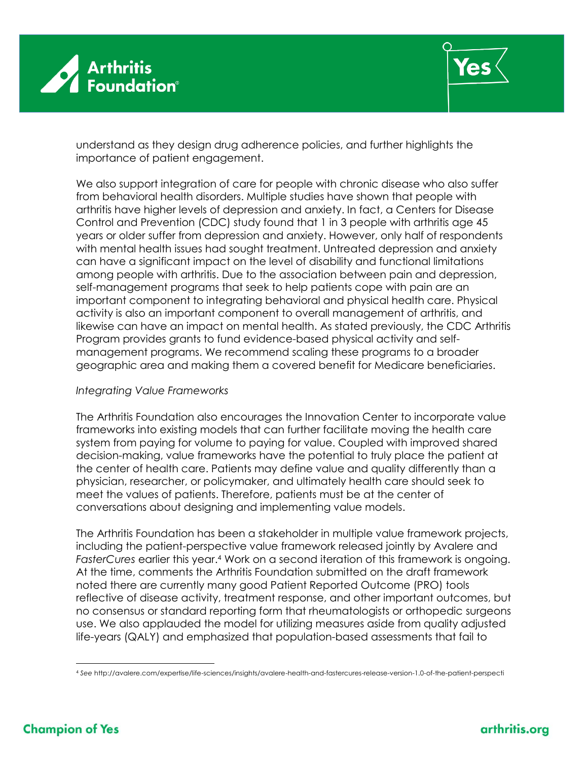



understand as they design drug adherence policies, and further highlights the importance of patient engagement.

We also support integration of care for people with chronic disease who also suffer from behavioral health disorders. Multiple studies have shown that people with arthritis have higher levels of depression and anxiety. In fact, a Centers for Disease Control and Prevention (CDC) study found that 1 in 3 people with arthritis age 45 years or older suffer from depression and anxiety. However, only half of respondents with mental health issues had sought treatment. Untreated depression and anxiety can have a significant impact on the level of disability and functional limitations among people with arthritis. Due to the association between pain and depression, self-management programs that seek to help patients cope with pain are an important component to integrating behavioral and physical health care. Physical activity is also an important component to overall management of arthritis, and likewise can have an impact on mental health. As stated previously, the CDC Arthritis Program provides grants to fund evidence-based physical activity and selfmanagement programs. We recommend scaling these programs to a broader geographic area and making them a covered benefit for Medicare beneficiaries.

### *Integrating Value Frameworks*

The Arthritis Foundation also encourages the Innovation Center to incorporate value frameworks into existing models that can further facilitate moving the health care system from paying for volume to paying for value. Coupled with improved shared decision-making, value frameworks have the potential to truly place the patient at the center of health care. Patients may define value and quality differently than a physician, researcher, or policymaker, and ultimately health care should seek to meet the values of patients. Therefore, patients must be at the center of conversations about designing and implementing value models.

The Arthritis Foundation has been a stakeholder in multiple value framework projects, including the patient-perspective value framework released jointly by Avalere and *FasterCures* earlier this year. <sup>4</sup> Work on a second iteration of this framework is ongoing. At the time, comments the Arthritis Foundation submitted on the draft framework noted there are currently many good Patient Reported Outcome (PRO) tools reflective of disease activity, treatment response, and other important outcomes, but no consensus or standard reporting form that rheumatologists or orthopedic surgeons use. We also applauded the model for utilizing measures aside from quality adjusted life-years (QALY) and emphasized that population-based assessments that fail to

 $\overline{a}$ 

<sup>4</sup> *See* http://avalere.com/expertise/life-sciences/insights/avalere-health-and-fastercures-release-version-1.0-of-the-patient-perspecti